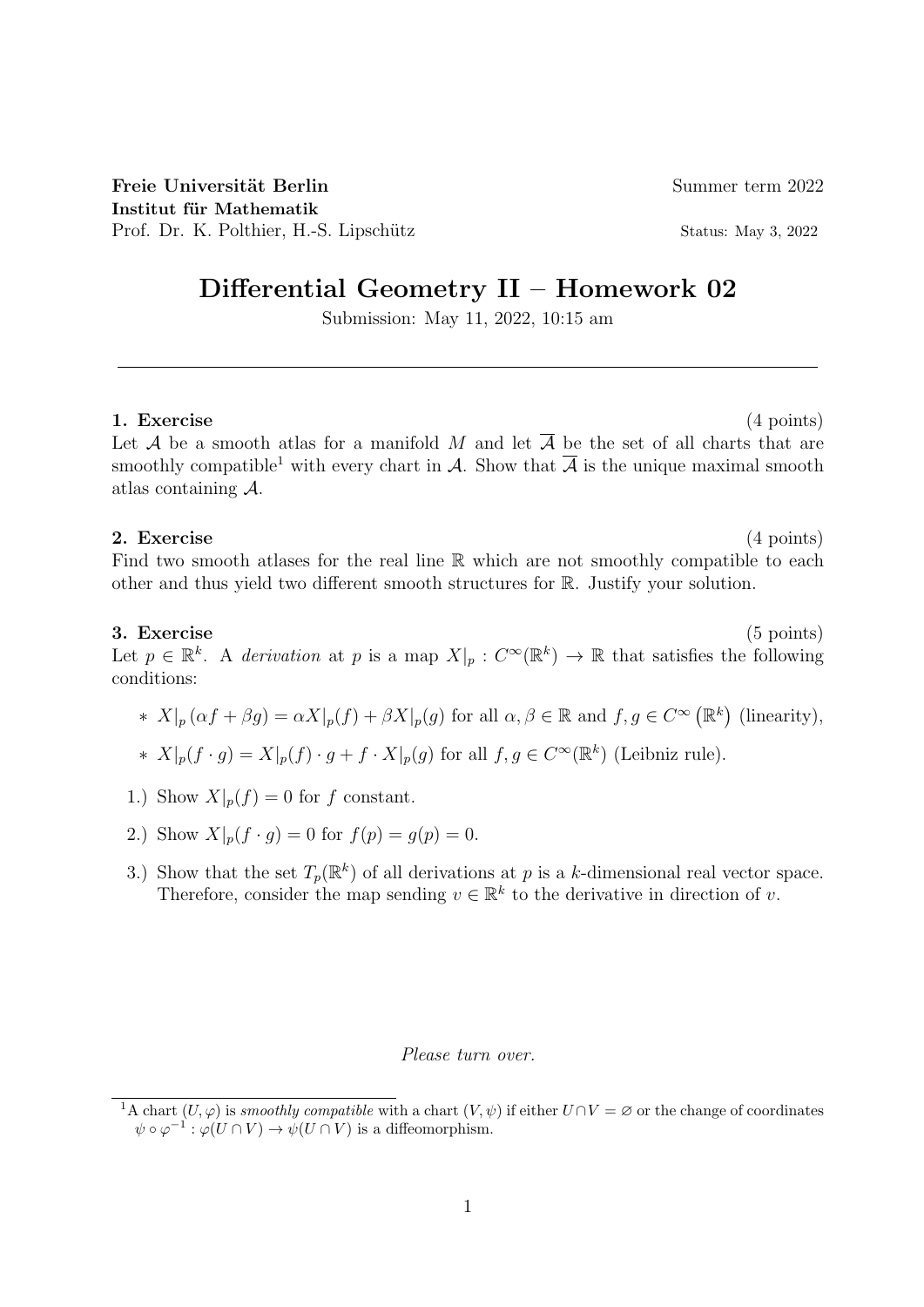Freie Universität Berlin Summer term 2022 Institut für Mathematik Prof. Dr. K. Polthier, H.-S. Lipschütz Status: May 3, 2022

# Differential Geometry II – Homework 02

Submission: May 11, 2022, 10:15 am

1. Exercise (4 points) Let A be a smooth atlas for a manifold M and let  $\overline{A}$  be the set of all charts that are smoothly compatible<sup>1</sup> with every chart in A. Show that  $\overline{A}$  is the unique maximal smooth

## 2. Exercise (4 points)

atlas containing A.

Find two smooth atlases for the real line  $\mathbb R$  which are not smoothly compatible to each other and thus yield two different smooth structures for R. Justify your solution.

### 3. Exercise (5 points)

Let  $p \in \mathbb{R}^k$ . A derivation at p is a map  $X|_p : C^\infty(\mathbb{R}^k) \to \mathbb{R}$  that satisfies the following conditions:

\* 
$$
X|_p(\alpha f + \beta g) = \alpha X|_p(f) + \beta X|_p(g)
$$
 for all  $\alpha, \beta \in \mathbb{R}$  and  $f, g \in C^\infty(\mathbb{R}^k)$  (linearity),

\*  $X|_p(f \cdot g) = X|_p(f) \cdot g + f \cdot X|_p(g)$  for all  $f, g \in C^\infty(\mathbb{R}^k)$  (Leibniz rule).

- 1.) Show  $X|_p(f) = 0$  for f constant.
- 2.) Show  $X|_{p}(f \cdot q) = 0$  for  $f(p) = q(p) = 0$ .
- 3.) Show that the set  $T_p(\mathbb{R}^k)$  of all derivations at p is a k-dimensional real vector space. Therefore, consider the map sending  $v \in \mathbb{R}^k$  to the derivative in direction of v.

### Please turn over.

<sup>&</sup>lt;sup>1</sup>A chart  $(U, \varphi)$  is smoothly compatible with a chart  $(V, \psi)$  if either  $U \cap V = \varnothing$  or the change of coordinates  $\psi \circ \varphi^{-1} : \varphi(U \cap V) \to \psi(U \cap V)$  is a diffeomorphism.